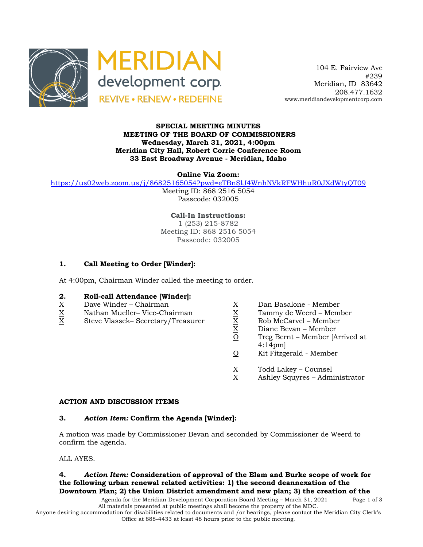



 104 E. Fairview Ave #239 Meridian, ID 83642 208.477.1632 www.meridiandevelopmentcorp.com

#### **SPECIAL MEETING MINUTES MEETING OF THE BOARD OF COMMISSIONERS Wednesday, March 31, 2021, 4:00pm Meridian City Hall, Robert Corrie Conference Room 33 East Broadway Avenue - Meridian, Idaho**

**Online Via Zoom:** 

https://us02web.zoom.us/j/86825165054?pwd=eTBnSlJ4WnhNVkRFWHhuR0JXdWtyQT09

Meeting ID: 868 2516 5054 Passcode: 032005

**Call-In Instructions:** 1 (253) 215-8782 Meeting ID: 868 2516 5054 Passcode: 032005

# **1. Call Meeting to Order [Winder]:**

At 4:00pm, Chairman Winder called the meeting to order.

# **2. Roll-call Attendance [Winder]:**<br><u>X</u> Dave Winder – Chairman<br><u>X</u> Nathan Mueller– Vice-Chairman

- 
- $X$  Nathan Mueller– Vice-Chairman  $X$  Tammy de Weerd Member<br>X Steve Vlassek– Secretary/Treasurer  $X$  Rob McCarvel Member
- Dave Winder Chairman  $\begin{array}{ccc}\n\text{X} & \text{Dan Basalone Member}\\
\text{Nathan Muelle} & \text{Vice-Chairman} & \text{X} & \text{Tammy de Weerd Mem} \\
\text{Steve Vlassek- Secretary/Treasure} & \text{X} & \text{Rob McCarvel Member}\\
\hline\n\frac{X}{O} & \text{Diane Bevan Member} \\
\end{array}$ Steve Vlassek– Secretary/Treasurer X Rob McCarvel – Member
- -
	-
	- Diane Bevan Member
	- Treg Bernt Member [Arrived at 4:14pm]
	- O Kit Fitzgerald Member
	- $\frac{X}{X}$  Todd Lakey Counsel<br>X Ashley Squyres Adm
	- Ashley Squyres Administrator

## **ACTION AND DISCUSSION ITEMS**

## **3.** *Action Item:* **Confirm the Agenda [Winder]:**

A motion was made by Commissioner Bevan and seconded by Commissioner de Weerd to confirm the agenda.

ALL AYES.

# **4.** *Action Item:* **Consideration of approval of the Elam and Burke scope of work for the following urban renewal related activities: 1) the second deannexation of the Downtown Plan; 2) the Union District amendment and new plan; 3) the creation of the**

Agenda for the Meridian Development Corporation Board Meeting – March 31, 2021 Page 1 of 3 All materials presented at public meetings shall become the property of the MDC.

Anyone desiring accommodation for disabilities related to documents and /or hearings, please contact the Meridian City Clerk's Office at 888-4433 at least 48 hours prior to the public meeting.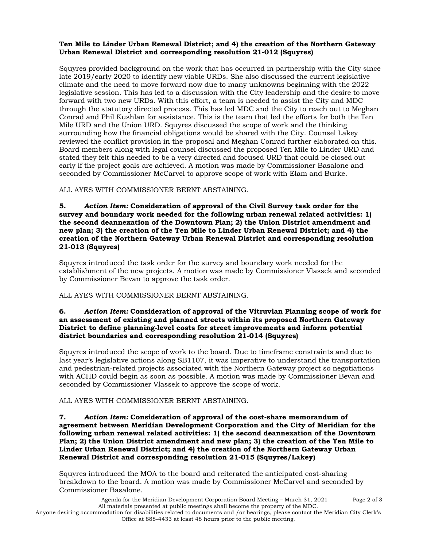#### **Ten Mile to Linder Urban Renewal District; and 4) the creation of the Northern Gateway Urban Renewal District and corresponding resolution 21-012 (Squyres)**

Squyres provided background on the work that has occurred in partnership with the City since late 2019/early 2020 to identify new viable URDs. She also discussed the current legislative climate and the need to move forward now due to many unknowns beginning with the 2022 legislative session. This has led to a discussion with the City leadership and the desire to move forward with two new URDs. With this effort, a team is needed to assist the City and MDC through the statutory directed process. This has led MDC and the City to reach out to Meghan Conrad and Phil Kushlan for assistance. This is the team that led the efforts for both the Ten Mile URD and the Union URD. Squyres discussed the scope of work and the thinking surrounding how the financial obligations would be shared with the City. Counsel Lakey reviewed the conflict provision in the proposal and Meghan Conrad further elaborated on this. Board members along with legal counsel discussed the proposed Ten Mile to Linder URD and stated they felt this needed to be a very directed and focused URD that could be closed out early if the project goals are achieved. A motion was made by Commissioner Basalone and seconded by Commissioner McCarvel to approve scope of work with Elam and Burke.

## ALL AYES WITH COMMISSIONER BERNT ABSTAINING.

**5.** *Action Item:* **Consideration of approval of the Civil Survey task order for the survey and boundary work needed for the following urban renewal related activities: 1) the second deannexation of the Downtown Plan; 2) the Union District amendment and new plan; 3) the creation of the Ten Mile to Linder Urban Renewal District; and 4) the creation of the Northern Gateway Urban Renewal District and corresponding resolution 21-013 (Squyres)**

Squyres introduced the task order for the survey and boundary work needed for the establishment of the new projects. A motion was made by Commissioner Vlassek and seconded by Commissioner Bevan to approve the task order.

#### ALL AYES WITH COMMISSIONER BERNT ABSTAINING.

#### **6.** *Action Item:* **Consideration of approval of the Vitruvian Planning scope of work for an assessment of existing and planned streets within its proposed Northern Gateway District to define planning-level costs for street improvements and inform potential district boundaries and corresponding resolution 21-014 (Squyres)**

Squyres introduced the scope of work to the board. Due to timeframe constraints and due to last year's legislative actions along SB1107, it was imperative to understand the transportation and pedestrian-related projects associated with the Northern Gateway project so negotiations with ACHD could begin as soon as possible. A motion was made by Commissioner Bevan and seconded by Commissioner Vlassek to approve the scope of work.

#### ALL AYES WITH COMMISSIONER BERNT ABSTAINING.

**7.** *Action Item:* **Consideration of approval of the cost-share memorandum of agreement between Meridian Development Corporation and the City of Meridian for the following urban renewal related activities: 1) the second deannexation of the Downtown Plan; 2) the Union District amendment and new plan; 3) the creation of the Ten Mile to Linder Urban Renewal District; and 4) the creation of the Northern Gateway Urban Renewal District and corresponding resolution 21-015 (Squyres/Lakey)**

Squyres introduced the MOA to the board and reiterated the anticipated cost-sharing breakdown to the board. A motion was made by Commissioner McCarvel and seconded by Commissioner Basalone.